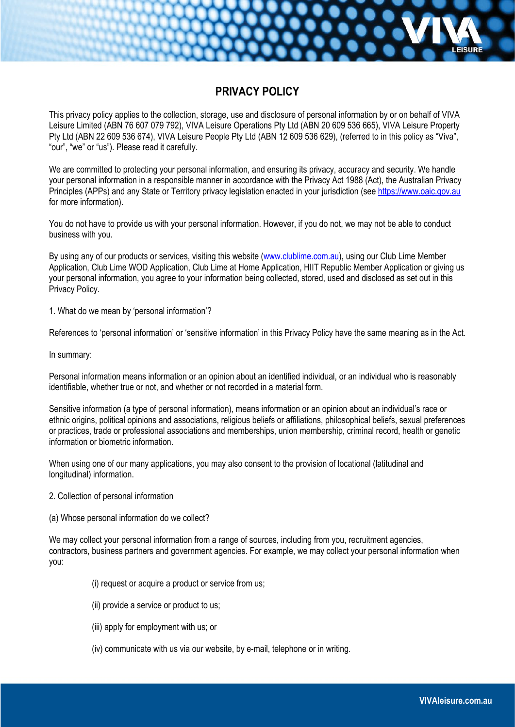# **PRIVACY POLICY**

This privacy policy applies to the collection, storage, use and disclosure of personal information by or on behalf of VIVA Leisure Limited (ABN 76 607 079 792), VIVA Leisure Operations Pty Ltd (ABN 20 609 536 665), VIVA Leisure Property Pty Ltd (ABN 22 609 536 674), VIVA Leisure People Pty Ltd (ABN 12 609 536 629), (referred to in this policy as "Viva", "our", "we" or "us"). Please read it carefully.

We are committed to protecting your personal information, and ensuring its privacy, accuracy and security. We handle your personal information in a responsible manner in accordance with the Privacy Act 1988 (Act), the Australian Privacy Principles (APPs) and any State or Territory privacy legislation enacted in your jurisdiction (see [https://www.oaic.gov.au](https://www.oaic.gov.au/) for more information).

You do not have to provide us with your personal information. However, if you do not, we may not be able to conduct business with you.

By using any of our products or services, visiting this website [\(www.clublime.com.au\)](http://www.clublime.com.au/), using our Club Lime Member Application, Club Lime WOD Application, Club Lime at Home Application, HIIT Republic Member Application or giving us your personal information, you agree to your information being collected, stored, used and disclosed as set out in this Privacy Policy.

1. What do we mean by 'personal information'?

References to 'personal information' or 'sensitive information' in this Privacy Policy have the same meaning as in the Act.

In summary:

Personal information means information or an opinion about an identified individual, or an individual who is reasonably identifiable, whether true or not, and whether or not recorded in a material form.

Sensitive information (a type of personal information), means information or an opinion about an individual's race or ethnic origins, political opinions and associations, religious beliefs or affiliations, philosophical beliefs, sexual preferences or practices, trade or professional associations and memberships, union membership, criminal record, health or genetic information or biometric information.

When using one of our many applications, you may also consent to the provision of locational (latitudinal and longitudinal) information.

- 2. Collection of personal information
- (a) Whose personal information do we collect?

We may collect your personal information from a range of sources, including from you, recruitment agencies, contractors, business partners and government agencies. For example, we may collect your personal information when you:

- (i) request or acquire a product or service from us;
- (ii) provide a service or product to us;
- (iii) apply for employment with us; or
- (iv) communicate with us via our website, by e-mail, telephone or in writing.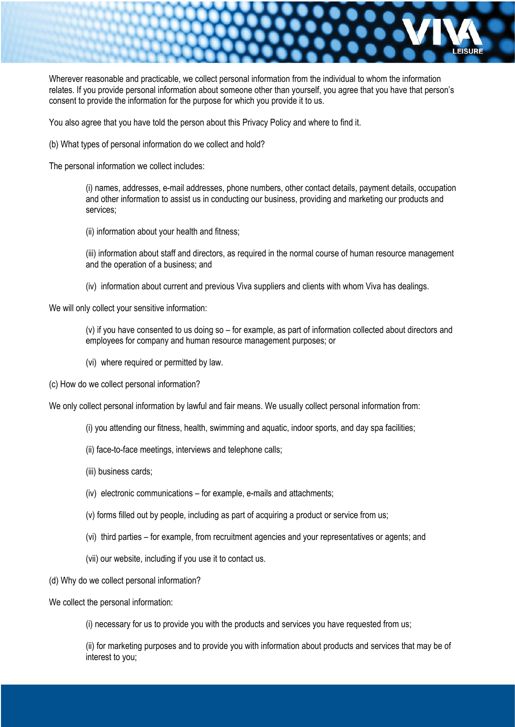

Wherever reasonable and practicable, we collect personal information from the individual to whom the information relates. If you provide personal information about someone other than yourself, you agree that you have that person's consent to provide the information for the purpose for which you provide it to us.

You also agree that you have told the person about this Privacy Policy and where to find it.

(b) What types of personal information do we collect and hold?

The personal information we collect includes:

(i) names, addresses, e-mail addresses, phone numbers, other contact details, payment details, occupation and other information to assist us in conducting our business, providing and marketing our products and services;

(ii) information about your health and fitness;

(iii) information about staff and directors, as required in the normal course of human resource management and the operation of a business; and

(iv) information about current and previous Viva suppliers and clients with whom Viva has dealings.

We will only collect your sensitive information:

(v) if you have consented to us doing so – for example, as part of information collected about directors and employees for company and human resource management purposes; or

- (vi) where required or permitted by law.
- (c) How do we collect personal information?

We only collect personal information by lawful and fair means. We usually collect personal information from:

- (i) you attending our fitness, health, swimming and aquatic, indoor sports, and day spa facilities;
- (ii) face-to-face meetings, interviews and telephone calls;
- (iii) business cards;
- (iv) electronic communications for example, e-mails and attachments;
- (v) forms filled out by people, including as part of acquiring a product or service from us;
- (vi) third parties for example, from recruitment agencies and your representatives or agents; and
- (vii) our website, including if you use it to contact us.
- (d) Why do we collect personal information?
- We collect the personal information:

(i) necessary for us to provide you with the products and services you have requested from us;

(ii) for marketing purposes and to provide you with information about products and services that may be of interest to you;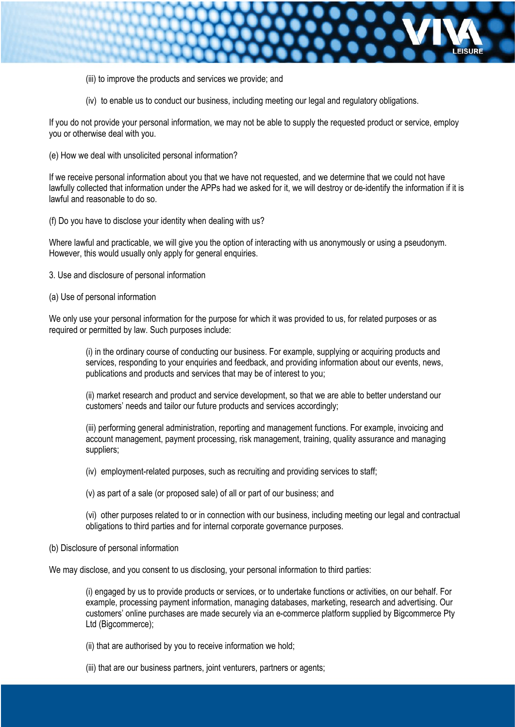

- (iii) to improve the products and services we provide; and
- (iv) to enable us to conduct our business, including meeting our legal and regulatory obligations.

If you do not provide your personal information, we may not be able to supply the requested product or service, employ you or otherwise deal with you.

(e) How we deal with unsolicited personal information?

If we receive personal information about you that we have not requested, and we determine that we could not have lawfully collected that information under the APPs had we asked for it, we will destroy or de-identify the information if it is lawful and reasonable to do so.

(f) Do you have to disclose your identity when dealing with us?

Where lawful and practicable, we will give you the option of interacting with us anonymously or using a pseudonym. However, this would usually only apply for general enquiries.

- 3. Use and disclosure of personal information
- (a) Use of personal information

We only use your personal information for the purpose for which it was provided to us, for related purposes or as required or permitted by law. Such purposes include:

(i) in the ordinary course of conducting our business. For example, supplying or acquiring products and services, responding to your enquiries and feedback, and providing information about our events, news, publications and products and services that may be of interest to you;

(ii) market research and product and service development, so that we are able to better understand our customers' needs and tailor our future products and services accordingly;

(iii) performing general administration, reporting and management functions. For example, invoicing and account management, payment processing, risk management, training, quality assurance and managing suppliers;

(iv) employment-related purposes, such as recruiting and providing services to staff;

(v) as part of a sale (or proposed sale) of all or part of our business; and

(vi) other purposes related to or in connection with our business, including meeting our legal and contractual obligations to third parties and for internal corporate governance purposes.

(b) Disclosure of personal information

We may disclose, and you consent to us disclosing, your personal information to third parties:

(i) engaged by us to provide products or services, or to undertake functions or activities, on our behalf. For example, processing payment information, managing databases, marketing, research and advertising. Our customers' online purchases are made securely via an e-commerce platform supplied by Bigcommerce Pty Ltd (Bigcommerce);

(ii) that are authorised by you to receive information we hold;

(iii) that are our business partners, joint venturers, partners or agents;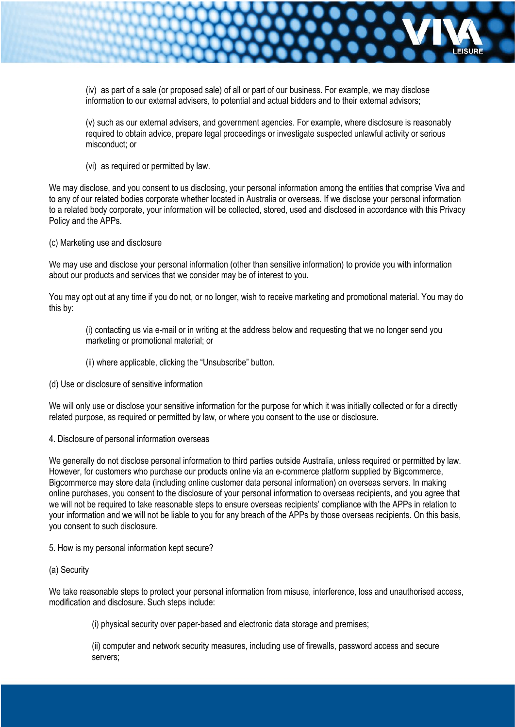

(iv) as part of a sale (or proposed sale) of all or part of our business. For example, we may disclose information to our external advisers, to potential and actual bidders and to their external advisors;

(v) such as our external advisers, and government agencies. For example, where disclosure is reasonably required to obtain advice, prepare legal proceedings or investigate suspected unlawful activity or serious misconduct; or

(vi) as required or permitted by law.

We may disclose, and you consent to us disclosing, your personal information among the entities that comprise Viva and to any of our related bodies corporate whether located in Australia or overseas. If we disclose your personal information to a related body corporate, your information will be collected, stored, used and disclosed in accordance with this Privacy Policy and the APPs.

(c) Marketing use and disclosure

We may use and disclose your personal information (other than sensitive information) to provide you with information about our products and services that we consider may be of interest to you.

You may opt out at any time if you do not, or no longer, wish to receive marketing and promotional material. You may do this by:

(i) contacting us via e-mail or in writing at the address below and requesting that we no longer send you marketing or promotional material; or

- (ii) where applicable, clicking the "Unsubscribe" button.
- (d) Use or disclosure of sensitive information

We will only use or disclose your sensitive information for the purpose for which it was initially collected or for a directly related purpose, as required or permitted by law, or where you consent to the use or disclosure.

4. Disclosure of personal information overseas

We generally do not disclose personal information to third parties outside Australia, unless required or permitted by law. However, for customers who purchase our products online via an e-commerce platform supplied by Bigcommerce, Bigcommerce may store data (including online customer data personal information) on overseas servers. In making online purchases, you consent to the disclosure of your personal information to overseas recipients, and you agree that we will not be required to take reasonable steps to ensure overseas recipients' compliance with the APPs in relation to your information and we will not be liable to you for any breach of the APPs by those overseas recipients. On this basis, you consent to such disclosure.

5. How is my personal information kept secure?

(a) Security

We take reasonable steps to protect your personal information from misuse, interference, loss and unauthorised access, modification and disclosure. Such steps include:

(i) physical security over paper-based and electronic data storage and premises;

(ii) computer and network security measures, including use of firewalls, password access and secure servers;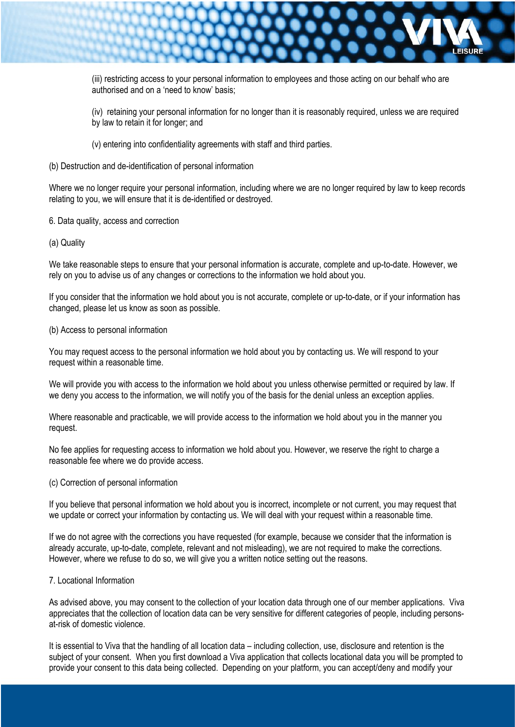

(iii) restricting access to your personal information to employees and those acting on our behalf who are authorised and on a 'need to know' basis;

(iv) retaining your personal information for no longer than it is reasonably required, unless we are required by law to retain it for longer; and

- (v) entering into confidentiality agreements with staff and third parties.
- (b) Destruction and de-identification of personal information

Where we no longer require your personal information, including where we are no longer required by law to keep records relating to you, we will ensure that it is de-identified or destroyed.

- 6. Data quality, access and correction
- (a) Quality

We take reasonable steps to ensure that your personal information is accurate, complete and up-to-date. However, we rely on you to advise us of any changes or corrections to the information we hold about you.

If you consider that the information we hold about you is not accurate, complete or up-to-date, or if your information has changed, please let us know as soon as possible.

#### (b) Access to personal information

You may request access to the personal information we hold about you by contacting us. We will respond to your request within a reasonable time.

We will provide you with access to the information we hold about you unless otherwise permitted or required by law. If we deny you access to the information, we will notify you of the basis for the denial unless an exception applies.

Where reasonable and practicable, we will provide access to the information we hold about you in the manner you request.

No fee applies for requesting access to information we hold about you. However, we reserve the right to charge a reasonable fee where we do provide access.

(c) Correction of personal information

If you believe that personal information we hold about you is incorrect, incomplete or not current, you may request that we update or correct your information by contacting us. We will deal with your request within a reasonable time.

If we do not agree with the corrections you have requested (for example, because we consider that the information is already accurate, up-to-date, complete, relevant and not misleading), we are not required to make the corrections. However, where we refuse to do so, we will give you a written notice setting out the reasons.

# 7. Locational Information

As advised above, you may consent to the collection of your location data through one of our member applications. Viva appreciates that the collection of location data can be very sensitive for different categories of people, including personsat-risk of domestic violence.

It is essential to Viva that the handling of all location data – including collection, use, disclosure and retention is the subject of your consent. When you first download a Viva application that collects locational data you will be prompted to provide your consent to this data being collected. Depending on your platform, you can accept/deny and modify your